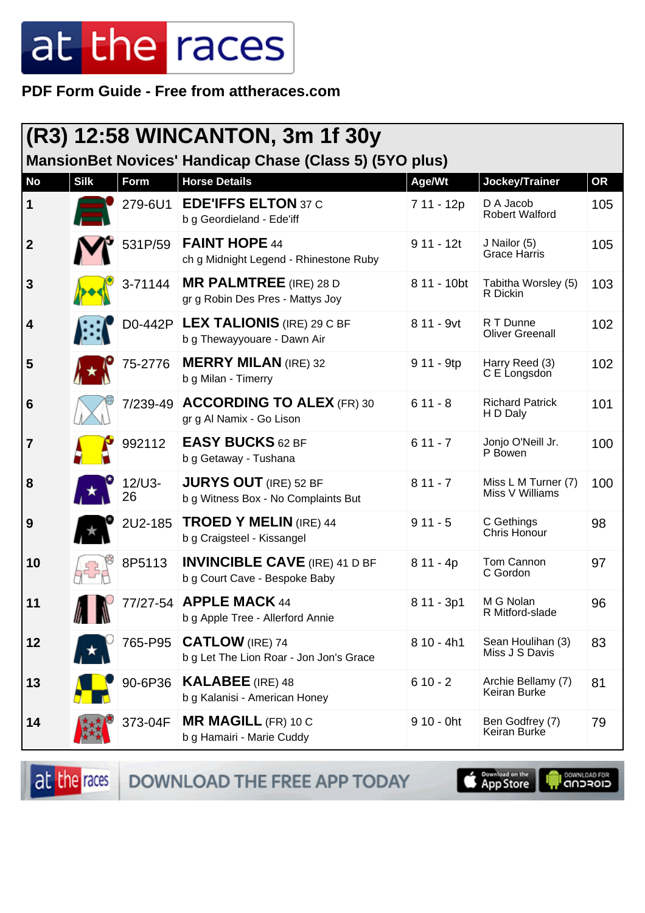**PDF Form Guide - Free from attheraces.com**

| $(R3)$ 12:58 WINCANTON, 3m 1f 30y<br><b>MansionBet Novices' Handicap Chase (Class 5) (5YO plus)</b> |             |              |                                                                       |              |                                        |           |
|-----------------------------------------------------------------------------------------------------|-------------|--------------|-----------------------------------------------------------------------|--------------|----------------------------------------|-----------|
| <b>No</b>                                                                                           | <b>Silk</b> | Form         | <b>Horse Details</b>                                                  | Age/Wt       | Jockey/Trainer                         | <b>OR</b> |
| $\mathbf 1$                                                                                         |             | 279-6U1      | <b>EDE'IFFS ELTON 37 C</b><br>b g Geordieland - Ede'iff               | 7 11 - 12p   | D A Jacob<br><b>Robert Walford</b>     | 105       |
| $\overline{\mathbf{2}}$                                                                             |             | 531P/59      | <b>FAINT HOPE 44</b><br>ch g Midnight Legend - Rhinestone Ruby        | $911 - 12t$  | J Nailor (5)<br><b>Grace Harris</b>    | 105       |
| $\mathbf{3}$                                                                                        |             | 3-71144      | <b>MR PALMTREE</b> (IRE) 28 D<br>gr g Robin Des Pres - Mattys Joy     | 8 11 - 10bt  | Tabitha Worsley (5)<br>R Dickin        | 103       |
| $\vert 4$                                                                                           |             | D0-442P      | <b>LEX TALIONIS</b> (IRE) 29 C BF<br>b g Thewayyouare - Dawn Air      | 8 11 - 9vt   | R T Dunne<br><b>Oliver Greenall</b>    | 102       |
| 5                                                                                                   |             | 75-2776      | <b>MERRY MILAN (IRE) 32</b><br>b g Milan - Timerry                    | $911 - 9tp$  | Harry Reed (3)<br>C E Longsdon         | 102       |
| $6\phantom{1}6$                                                                                     |             |              | 7/239-49 ACCORDING TO ALEX (FR) 30<br>gr g Al Namix - Go Lison        | $611 - 8$    | <b>Richard Patrick</b><br>H D Daly     | 101       |
| $\overline{7}$                                                                                      |             | 992112       | <b>EASY BUCKS 62 BF</b><br>b g Getaway - Tushana                      | $611 - 7$    | Jonjo O'Neill Jr.<br>P Bowen           | 100       |
| 8                                                                                                   |             | 12/U3-<br>26 | <b>JURYS OUT</b> (IRE) 52 BF<br>b g Witness Box - No Complaints But   | $811 - 7$    | Miss L M Turner (7)<br>Miss V Williams | 100       |
| 9                                                                                                   |             | 2U2-185      | <b>TROED Y MELIN (IRE) 44</b><br>b g Craigsteel - Kissangel           | $911 - 5$    | C Gethings<br>Chris Honour             | 98        |
| 10                                                                                                  |             | 8P5113       | <b>INVINCIBLE CAVE (IRE) 41 D BF</b><br>b g Court Cave - Bespoke Baby | $811 - 4p$   | Tom Cannon<br>C Gordon                 | 97        |
| 11                                                                                                  |             |              | 77/27-54 APPLE MACK 44<br>b g Apple Tree - Allerford Annie            | 8 11 - 3p1   | M G Nolan<br>R Mitford-slade           | 96        |
| 12                                                                                                  |             | 765-P95      | <b>CATLOW</b> (IRE) 74<br>b g Let The Lion Roar - Jon Jon's Grace     | $810 - 4h1$  | Sean Houlihan (3)<br>Miss J S Davis    | 83        |
| 13                                                                                                  |             | 90-6P36      | <b>KALABEE</b> (IRE) 48<br>b g Kalanisi - American Honey              | $610 - 2$    | Archie Bellamy (7)<br>Keiran Burke     | 81        |
| 14                                                                                                  |             | 373-04F      | <b>MR MAGILL (FR) 10 C</b><br>b g Hamairi - Marie Cuddy               | $910 - 0$ ht | Ben Godfrey (7)<br>Keiran Burke        | 79        |

at the races DOWNLOAD THE FREE APP TODAY

**Completed on the** 

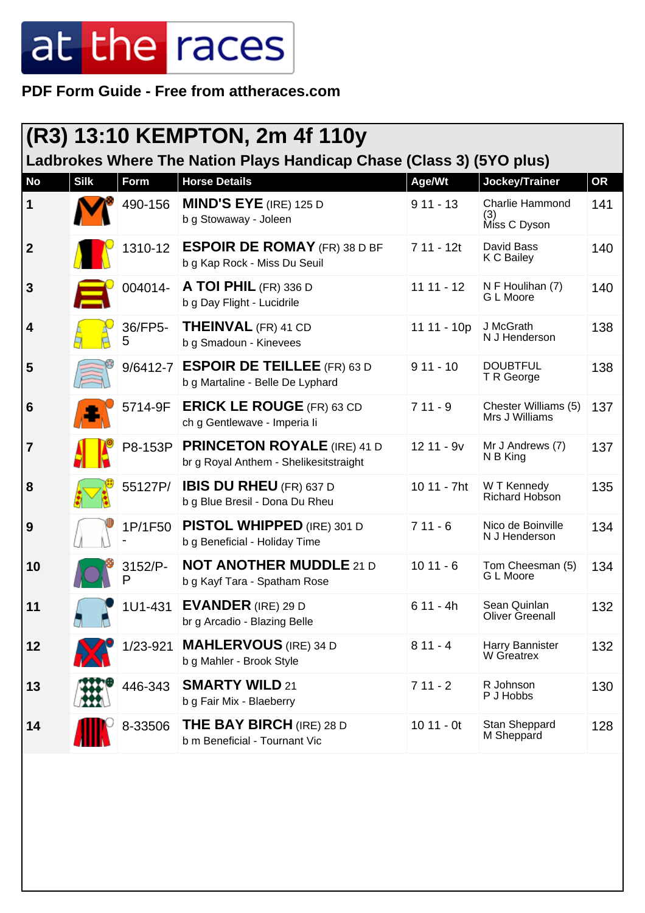**PDF Form Guide - Free from attheraces.com**

| (R3) 13:10 KEMPTON, 2m 4f 110y |             |              |                                                                              |              |                                        |           |
|--------------------------------|-------------|--------------|------------------------------------------------------------------------------|--------------|----------------------------------------|-----------|
|                                |             |              | Ladbrokes Where The Nation Plays Handicap Chase (Class 3) (5YO plus)         |              |                                        |           |
| <b>No</b>                      | <b>Silk</b> | Form         | <b>Horse Details</b>                                                         | Age/Wt       | Jockey/Trainer                         | <b>OR</b> |
| $\vert$ 1                      |             | 490-156      | <b>MIND'S EYE</b> (IRE) 125 D<br>b g Stowaway - Joleen                       | $911 - 13$   | Charlie Hammond<br>(3)<br>Miss C Dyson | 141       |
| $\vert$ 2                      |             | 1310-12      | <b>ESPOIR DE ROMAY</b> (FR) 38 D BF<br>b g Kap Rock - Miss Du Seuil          | $711 - 12t$  | David Bass<br>K C Bailey               | 140       |
| $\mathbf{3}$                   |             | 004014-      | <b>A TOI PHIL</b> (FR) 336 D<br>b g Day Flight - Lucidrile                   | $11 11 - 12$ | N F Houlihan (7)<br>G L Moore          | 140       |
| $\vert 4$                      |             | 36/FP5-<br>5 | <b>THEINVAL</b> (FR) 41 CD<br>b g Smadoun - Kinevees                         | 11 11 - 10p  | J McGrath<br>N J Henderson             | 138       |
| 5                              |             |              | 9/6412-7 ESPOIR DE TEILLEE (FR) 63 D<br>b g Martaline - Belle De Lyphard     | $911 - 10$   | <b>DOUBTFUL</b><br>T R George          | 138       |
| 6                              |             | 5714-9F      | <b>ERICK LE ROUGE (FR) 63 CD</b><br>ch g Gentlewave - Imperia li             | $711 - 9$    | Chester Williams (5)<br>Mrs J Williams | 137       |
| $\overline{7}$                 |             | P8-153P      | <b>PRINCETON ROYALE (IRE) 41 D</b><br>br g Royal Anthem - Shelikesitstraight | 12 11 - 9v   | Mr J Andrews (7)<br>N B King           | 137       |
| 8                              |             | 55127P/      | <b>IBIS DU RHEU</b> (FR) 637 D<br>b g Blue Bresil - Dona Du Rheu             | 10 11 - 7ht  | W T Kennedy<br>Richard Hobson          | 135       |
| 9                              |             | 1P/1F50      | <b>PISTOL WHIPPED</b> (IRE) 301 D<br>b g Beneficial - Holiday Time           | $711 - 6$    | Nico de Boinville<br>N J Henderson     | 134       |
| 10                             |             | 3152/P-      | <b>NOT ANOTHER MUDDLE 21 D</b><br>b g Kayf Tara - Spatham Rose               | $1011 - 6$   | Tom Cheesman (5)<br>G L Moore          | 134       |
| 11                             |             | 1U1-431      | <b>EVANDER</b> (IRE) 29 D<br>br g Arcadio - Blazing Belle                    | $611 - 4h$   | Sean Quinlan<br><b>Oliver Greenall</b> | 132       |
| 12                             |             | 1/23-921     | <b>MAHLERVOUS</b> (IRE) 34 D<br>b g Mahler - Brook Style                     | $811 - 4$    | Harry Bannister<br>W Greatrex          | 132       |
| 13                             |             | 446-343      | <b>SMARTY WILD 21</b><br>b g Fair Mix - Blaeberry                            | $711 - 2$    | R Johnson<br>P J Hobbs                 | 130       |
| 14                             |             | 8-33506      | <b>THE BAY BIRCH</b> (IRE) 28 D<br>b m Beneficial - Tournant Vic             | $1011 - 0t$  | Stan Sheppard<br>M Sheppard            | 128       |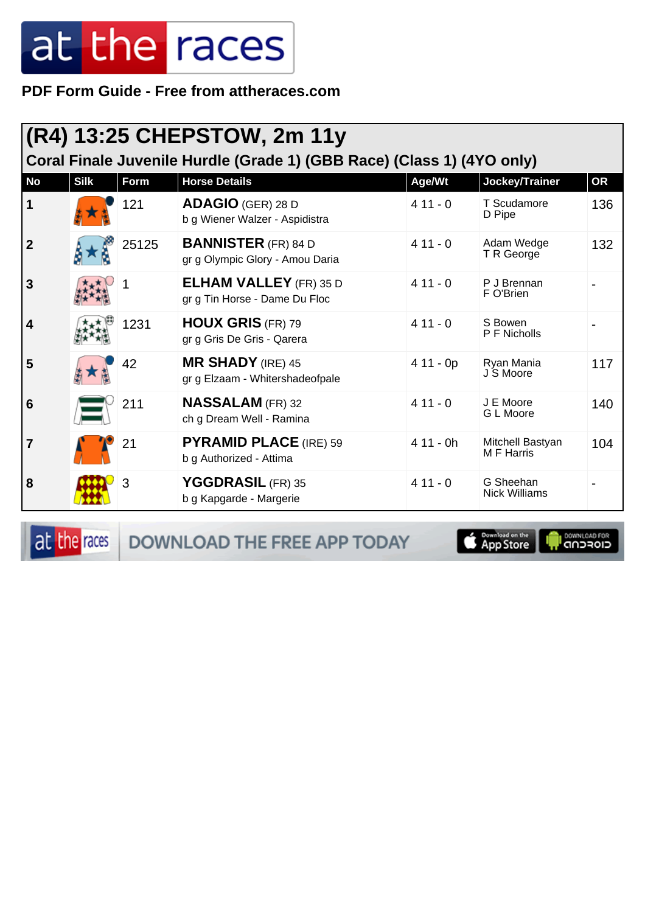PDF Form Guide - Free from attheraces.com

| (R4) 13:25 CHEPSTOW, 2m 11y<br>Coral Finale Juvenile Hurdle (Grade 1) (GBB Race) (Class 1) (4YO only) |             |       |                                                                |            |                                      |           |  |
|-------------------------------------------------------------------------------------------------------|-------------|-------|----------------------------------------------------------------|------------|--------------------------------------|-----------|--|
| <b>No</b>                                                                                             | <b>Silk</b> | Form  | <b>Horse Details</b>                                           | Age/Wt     | Jockey/Trainer                       | <b>OR</b> |  |
| 1                                                                                                     |             | 121   | <b>ADAGIO (GER) 28 D</b><br>b g Wiener Walzer - Aspidistra     | $411 - 0$  | T Scudamore<br>D Pipe                | 136       |  |
| $\mathbf{2}$                                                                                          |             | 25125 | <b>BANNISTER</b> (FR) 84 D<br>gr g Olympic Glory - Amou Daria  | $411 - 0$  | Adam Wedge<br>T R George             | 132       |  |
| 3                                                                                                     |             |       | <b>ELHAM VALLEY</b> (FR) 35 D<br>gr g Tin Horse - Dame Du Floc | $411 - 0$  | P J Brennan<br>F O'Brien             |           |  |
| 4                                                                                                     |             | 1231  | <b>HOUX GRIS (FR) 79</b><br>gr g Gris De Gris - Qarera         | $411 - 0$  | S Bowen<br>P F Nicholls              |           |  |
| 5                                                                                                     |             | 42    | <b>MR SHADY</b> (IRE) 45<br>gr g Elzaam - Whitershadeofpale    | $411 - 0p$ | Ryan Mania<br>J S Moore              | 117       |  |
| 6                                                                                                     |             | 211   | <b>NASSALAM</b> (FR) 32<br>ch g Dream Well - Ramina            | $411 - 0$  | J E Moore<br>G L Moore               | 140       |  |
| 7                                                                                                     |             | 21    | <b>PYRAMID PLACE (IRE) 59</b><br>b g Authorized - Attima       | $411 - 0h$ | Mitchell Bastyan<br><b>MF</b> Harris | 104       |  |
| 8                                                                                                     |             | 3     | YGGDRASIL (FR) 35<br>b g Kapgarde - Margerie                   | $411 - 0$  | G Sheehan<br>Nick Williams           |           |  |

at the races

DOWNLOAD THE FREE APP TODAY



**I** DOWNLOAD FOR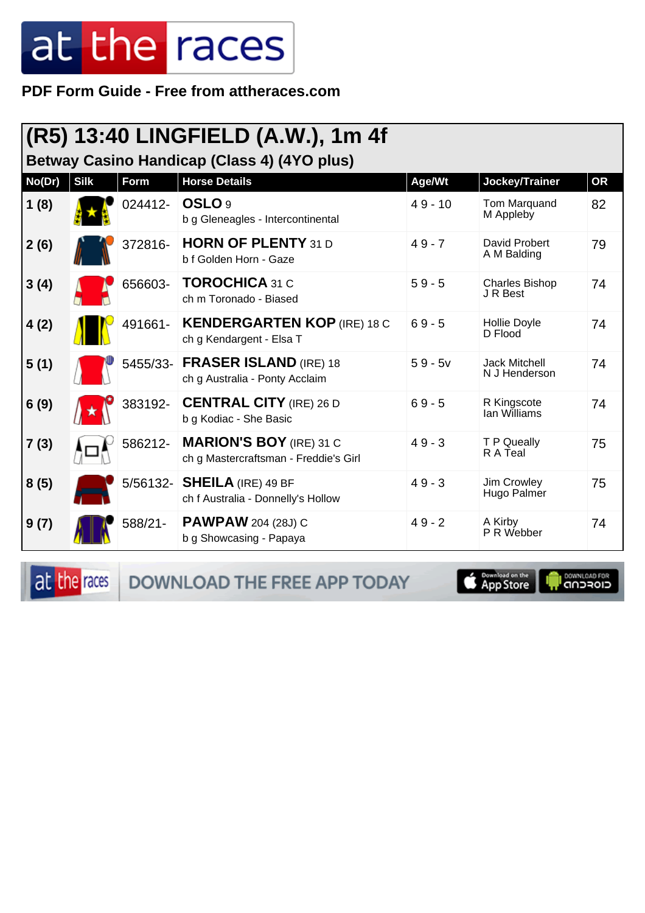**PDF Form Guide - Free from attheraces.com**

| (R5) 13:40 LINGFIELD (A.W.), 1m 4f<br>Betway Casino Handicap (Class 4) (4YO plus) |             |          |                                                                         |           |                                       |           |  |
|-----------------------------------------------------------------------------------|-------------|----------|-------------------------------------------------------------------------|-----------|---------------------------------------|-----------|--|
| No(Dr)                                                                            | <b>Silk</b> | Form     | <b>Horse Details</b>                                                    | Age/Wt    | Jockey/Trainer                        | <b>OR</b> |  |
| 1(8)                                                                              |             | 024412-  | OSLO <sub>9</sub><br>b g Gleneagles - Intercontinental                  | $49 - 10$ | Tom Marquand<br>M Appleby             | 82        |  |
| 2(6)                                                                              |             | 372816-  | <b>HORN OF PLENTY 31 D</b><br>b f Golden Horn - Gaze                    | $49 - 7$  | David Probert<br>A M Balding          | 79        |  |
| 3(4)                                                                              |             | 656603-  | <b>TOROCHICA 31 C</b><br>ch m Toronado - Biased                         | $59 - 5$  | <b>Charles Bishop</b><br>J R Best     | 74        |  |
| 4(2)                                                                              |             | 491661-  | <b>KENDERGARTEN KOP (IRE) 18 C</b><br>ch g Kendargent - Elsa T          | $69 - 5$  | Hollie Doyle<br>D Flood               | 74        |  |
| 5(1)                                                                              |             |          | 5455/33- FRASER ISLAND (IRE) 18<br>ch g Australia - Ponty Acclaim       | $59 - 5v$ | <b>Jack Mitchell</b><br>N J Henderson | 74        |  |
| 6(9)                                                                              |             | 383192-  | <b>CENTRAL CITY</b> (IRE) 26 D<br>b g Kodiac - She Basic                | $69 - 5$  | R Kingscote<br>lan Williams           | 74        |  |
| 7(3)                                                                              |             | 586212-  | <b>MARION'S BOY</b> (IRE) 31 C<br>ch g Mastercraftsman - Freddie's Girl | $49 - 3$  | T P Queally<br>R A Teal               | 75        |  |
| 8(5)                                                                              |             | 5/56132- | <b>SHEILA</b> (IRE) 49 BF<br>ch f Australia - Donnelly's Hollow         | $49 - 3$  | Jim Crowley<br>Hugo Palmer            | 75        |  |
| 9(7)                                                                              |             | 588/21-  | <b>PAWPAW</b> 204 (28J) C<br>b g Showcasing - Papaya                    | $49 - 2$  | A Kirby<br>P R Webber                 | 74        |  |

at the races DOWNLOAD THE FREE APP TODAY